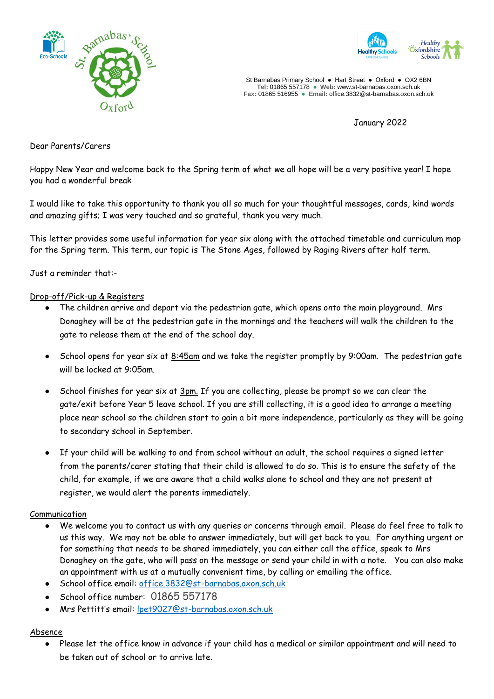



St Barnabas Primary School **●** Hart Street ● Oxford ● OX2 6BN **Tel:** 01865 557178 **● Web:** www.st-barnabas.oxon.sch.uk **Fax:** 01865 516955 ● **Email:** office.3832@st-barnabas.oxon.sch.uk

January 2022

Dear Parents/Carers

Happy New Year and welcome back to the Spring term of what we all hope will be a very positive year! I hope you had a wonderful break

I would like to take this opportunity to thank you all so much for your thoughtful messages, cards, kind words and amazing gifts; I was very touched and so grateful, thank you very much.

This letter provides some useful information for year six along with the attached timetable and curriculum map for the Spring term. This term, our topic is The Stone Ages, followed by Raging Rivers after half term.

Just a reminder that:-

#### Drop-off/Pick-up & Registers

- The children arrive and depart via the pedestrian gate, which opens onto the main playground. Mrs Donaghey will be at the pedestrian gate in the mornings and the teachers will walk the children to the gate to release them at the end of the school day.
- School opens for year six at 8:45am and we take the register promptly by 9:00am. The pedestrian gate will be locked at 9:05am.
- School finishes for year six at 3pm. If you are collecting, please be prompt so we can clear the gate/exit before Year 5 leave school. If you are still collecting, it is a good idea to arrange a meeting place near school so the children start to gain a bit more independence, particularly as they will be going to secondary school in September.
- If your child will be walking to and from school without an adult, the school requires a signed letter from the parents/carer stating that their child is allowed to do so. This is to ensure the safety of the child, for example, if we are aware that a child walks alone to school and they are not present at register, we would alert the parents immediately.

#### Communication

- We welcome you to contact us with any queries or concerns through email. Please do feel free to talk to us this way. We may not be able to answer immediately, but will get back to you. For anything urgent or for something that needs to be shared immediately, you can either call the office, speak to Mrs Donaghey on the gate, who will pass on the message or send your child in with a note. You can also make an appointment with us at a mutually convenient time, by calling or emailing the office.
- School office email: [office.3832@st-barnabas.oxon.sch.uk](mailto:office.3832@st-barnabas.oxon.sch.uk)
- School office number: 01865 557178
- Mrs Pettitt's email: [lpet9027@st-barnabas.oxon.sch.uk](mailto:lpet9027@st-barnabas.oxon.sch.uk)

## Absence

Please let the office know in advance if your child has a medical or similar appointment and will need to be taken out of school or to arrive late.